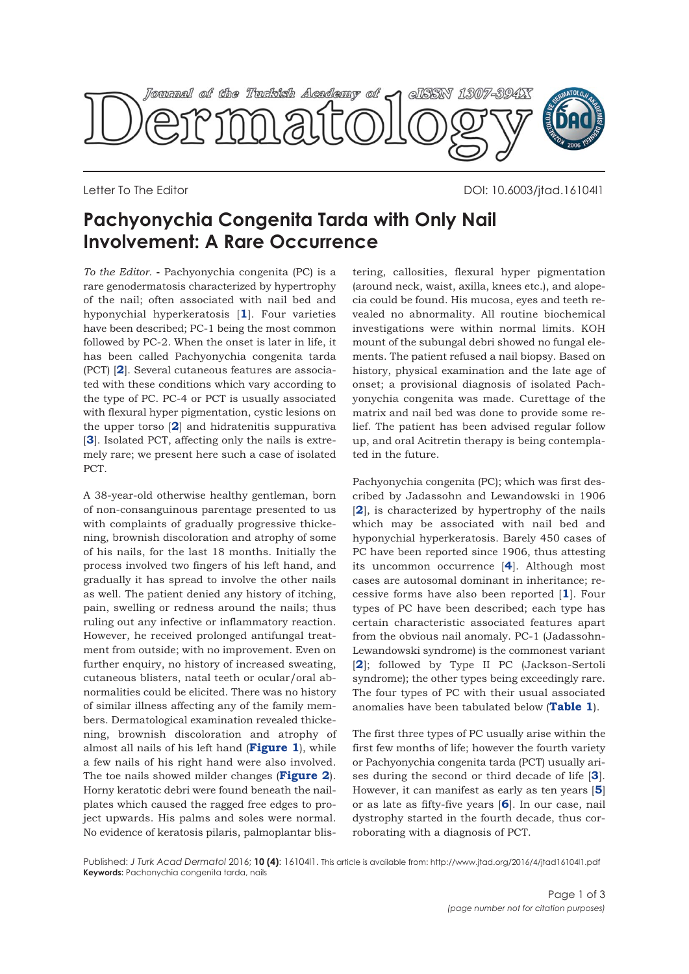

Letter To The Editor DOI: 10.6003/jtad.16104l1

## **Pachyonychia Congenita Tarda with Only Nail Involvement: A Rare Occurrence**

*To the Editor.* **-** Pachyonychia congenita (PC) is a rare genodermatosis characterized by hypertrophy of the nail; often associated with nail bed and hyponychial hyperkeratosis [**[1](#page-2-0)**]. Four varieties have been described; PC-1 being the most common followed by PC-2. When the onset is later in life, it has been called Pachyonychia congenita tarda (PCT) [**[2](#page-2-0)**]. Several cutaneous features are associated with these conditions which vary according to the type of PC. PC-4 or PCT is usually associated with flexural hyper pigmentation, cystic lesions on the upper torso [**[2](#page-1-0)**] and hidratenitis suppurativa [[3](#page-2-0)]. Isolated PCT, affecting only the nails is extremely rare; we present here such a case of isolated PCT.

A 38-year-old otherwise healthy gentleman, born of non-consanguinous parentage presented to us with complaints of gradually progressive thickening, brownish discoloration and atrophy of some of his nails, for the last 18 months. Initially the process involved two fingers of his left hand, and gradually it has spread to involve the other nails as well. The patient denied any history of itching, pain, swelling or redness around the nails; thus ruling out any infective or inflammatory reaction. However, he received prolonged antifungal treatment from outside; with no improvement. Even on further enquiry, no history of increased sweating, cutaneous blisters, natal teeth or ocular/oral abnormalities could be elicited. There was no history of similar illness affecting any of the family members. Dermatological examination revealed thickening, brownish discoloration and atrophy of almost all nails of his left hand (**[Figure 1](#page-1-0)**), while a few nails of his right hand were also involved. The toe nails showed milder changes (**[Figure 2](#page-1-0)**). Horny keratotic debri were found beneath the nailplates which caused the ragged free edges to project upwards. His palms and soles were normal. No evidence of keratosis pilaris, palmoplantar blis-

tering, callosities, flexural hyper pigmentation (around neck, waist, axilla, knees etc.), and alopecia could be found. His mucosa, eyes and teeth revealed no abnormality. All routine biochemical investigations were within normal limits. KOH mount of the subungal debri showed no fungal elements. The patient refused a nail biopsy. Based on history, physical examination and the late age of onset; a provisional diagnosis of isolated Pachyonychia congenita was made. Curettage of the matrix and nail bed was done to provide some relief. The patient has been advised regular follow up, and oral Acitretin therapy is being contemplated in the future.

Pachyonychia congenita (PC); which was first described by Jadassohn and Lewandowski in 1906 [**[2](#page-2-0)**], is characterized by hypertrophy of the nails which may be associated with nail bed and hyponychial hyperkeratosis. Barely 450 cases of PC have been reported since 1906, thus attesting its uncommon occurrence [**[4](#page-2-0)**]. Although most cases are autosomal dominant in inheritance; recessive forms have also been reported [**[1](#page-2-0)**]. Four types of PC have been described; each type has certain characteristic associated features apart from the obvious nail anomaly. PC-1 (Jadassohn-Lewandowski syndrome) is the commonest variant [**[2](#page-2-0)**]; followed by Type II PC (Jackson-Sertoli syndrome); the other types being exceedingly rare. The four types of PC with their usual associated anomalies have been tabulated below (**[Table 1](#page-1-0)**).

The first three types of PC usually arise within the first few months of life; however the fourth variety or Pachyonychia congenita tarda (PCT) usually arises during the second or third decade of life [**[3](#page-2-0)**]. However, it can manifest as early as ten years [**[5](#page-2-0)**] or as late as fifty-five years [**[6](#page-2-0)**]. In our case, nail dystrophy started in the fourth decade, thus corroborating with a diagnosis of PCT.

Published: *J Turk Acad Dermatol* 2016; **10 (4)**: 16104l1. This article is available from: http://www.jtad.org/2016/4/jtad16104l1.pdf **Keywords:** Pachonychia congenita tarda, nails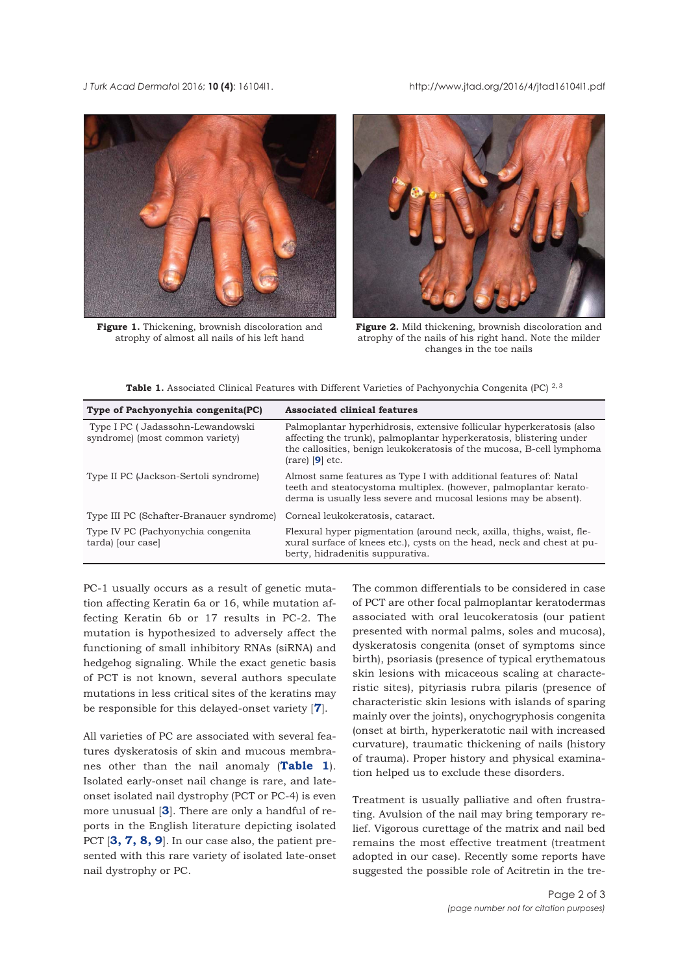<span id="page-1-0"></span>*J Turk Acad Dermato*l 2016; **10 (4)**: 16104l1. http://www.jtad.org/2016/4/jtad16104l1.pdf



**Figure 1.** Thickening, brownish discoloration and atrophy of almost all nails of his left hand



**Figure 2.** Mild thickening, brownish discoloration and atrophy of the nails of his right hand. Note the milder changes in the toe nails

|  | <b>Table 1.</b> Associated Clinical Features with Different Varieties of Pachyonychia Congenita (PC) $^{2,3}$ |  |  |  |  |  |  |  |  |  |
|--|---------------------------------------------------------------------------------------------------------------|--|--|--|--|--|--|--|--|--|
|--|---------------------------------------------------------------------------------------------------------------|--|--|--|--|--|--|--|--|--|

| Type of Pachyonychia congenita(PC)                                  | <b>Associated clinical features</b>                                                                                                                                                                                                                          |  |  |  |  |
|---------------------------------------------------------------------|--------------------------------------------------------------------------------------------------------------------------------------------------------------------------------------------------------------------------------------------------------------|--|--|--|--|
| Type I PC (Jadassohn-Lewandowski<br>syndrome) (most common variety) | Palmoplantar hyperhidrosis, extensive follicular hyperkeratosis (also<br>affecting the trunk), palmoplantar hyperkeratosis, blistering under<br>the callosities, benign leukokeratosis of the mucosa, B-cell lymphoma<br>$\left(\text{rare}\right)$ [9] etc. |  |  |  |  |
| Type II PC (Jackson-Sertoli syndrome)                               | Almost same features as Type I with additional features of: Natal<br>teeth and steatocystoma multiplex. (however, palmoplantar kerato-<br>derma is usually less severe and mucosal lesions may be absent).                                                   |  |  |  |  |
| Type III PC (Schafter-Branauer syndrome)                            | Corneal leukokeratosis, cataract.                                                                                                                                                                                                                            |  |  |  |  |
| Type IV PC (Pachyonychia congenita)<br>tarda) [our case]            | Flexural hyper pigmentation (around neck, axilla, thighs, waist, fle<br>xural surface of knees etc.), cysts on the head, neck and chest at pu-<br>berty, hidradenitis suppurativa.                                                                           |  |  |  |  |

PC-1 usually occurs as a result of genetic mutation affecting Keratin 6a or 16, while mutation affecting Keratin 6b or 17 results in PC-2. The mutation is hypothesized to adversely affect the functioning of small inhibitory RNAs (siRNA) and hedgehog signaling. While the exact genetic basis of PCT is not known, several authors speculate mutations in less critical sites of the keratins may be responsible for this delayed-onset variety [**[7](#page-2-0)**].

All varieties of PC are associated with several features dyskeratosis of skin and mucous membranes other than the nail anomaly (**Table 1**). Isolated early-onset nail change is rare, and lateonset isolated nail dystrophy (PCT or PC-4) is even more unusual [**[3](#page-2-0)**]. There are only a handful of reports in the English literature depicting isolated PCT [**[3, 7, 8, 9](#page-2-0)**]. In our case also, the patient presented with this rare variety of isolated late-onset nail dystrophy or PC.

The common differentials to be considered in case of PCT are other focal palmoplantar keratodermas associated with oral leucokeratosis (our patient presented with normal palms, soles and mucosa), dyskeratosis congenita (onset of symptoms since birth), psoriasis (presence of typical erythematous skin lesions with micaceous scaling at characteristic sites), pityriasis rubra pilaris (presence of characteristic skin lesions with islands of sparing mainly over the joints), onychogryphosis congenita (onset at birth, hyperkeratotic nail with increased curvature), traumatic thickening of nails (history of trauma). Proper history and physical examination helped us to exclude these disorders.

Treatment is usually palliative and often frustrating. Avulsion of the nail may bring temporary relief. Vigorous curettage of the matrix and nail bed remains the most effective treatment (treatment adopted in our case). Recently some reports have suggested the possible role of Acitretin in the tre